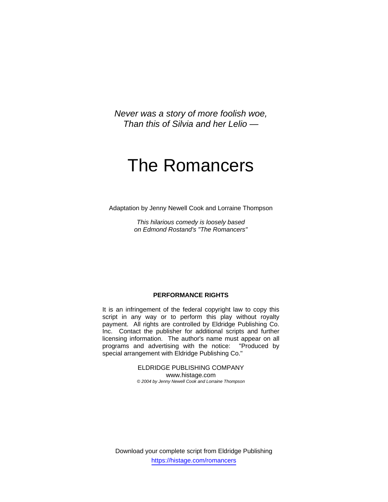*Never was a story of more foolish woe, Than this of Silvia and her Lelio —* 

# The Romancers

Adaptation by Jenny Newell Cook and Lorraine Thompson

*This hilarious comedy is loosely based on Edmond Rostand's "The Romancers"* 

#### **PERFORMANCE RIGHTS**

It is an infringement of the federal copyright law to copy this script in any way or to perform this play without royalty payment. All rights are controlled by Eldridge Publishing Co. Inc. Contact the publisher for additional scripts and further licensing information. The author's name must appear on all programs and advertising with the notice: "Produced by special arrangement with Eldridge Publishing Co."

> ELDRIDGE PUBLISHING COMPANY www.histage.com *© 2004 by Jenny Newell Cook and Lorraine Thompson*

Download your complete script from Eldridge Publishing https://histage.com/romancers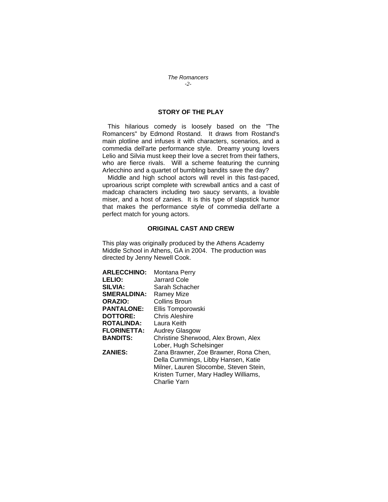### *The Romancers -2-*

# **STORY OF THE PLAY**

 This hilarious comedy is loosely based on the "The Romancers" by Edmond Rostand. It draws from Rostand's main plotline and infuses it with characters, scenarios, and a commedia dell'arte performance style. Dreamy young lovers Lelio and Silvia must keep their love a secret from their fathers, who are fierce rivals. Will a scheme featuring the cunning Arlecchino and a quartet of bumbling bandits save the day?

 Middle and high school actors will revel in this fast-paced, uproarious script complete with screwball antics and a cast of madcap characters including two saucy servants, a lovable miser, and a host of zanies. It is this type of slapstick humor that makes the performance style of commedia dell'arte a perfect match for young actors.

# **ORIGINAL CAST AND CREW**

This play was originally produced by the Athens Academy Middle School in Athens, GA in 2004. The production was directed by Jenny Newell Cook.

| <b>ARLECCHINO:</b> | Montana Perry                          |
|--------------------|----------------------------------------|
| <b>LELIO:</b>      | Jarrard Cole                           |
| <b>SILVIA:</b>     | Sarah Schacher                         |
| <b>SMERALDINA:</b> | Ramey Mize                             |
| ORAZIO:            | Collins Broun                          |
| <b>PANTALONE:</b>  | Ellis Tomporowski                      |
| <b>DOTTORE:</b>    | Chris Aleshire                         |
| <b>ROTALINDA:</b>  | Laura Keith                            |
| <b>FLORINETTA:</b> | <b>Audrey Glasgow</b>                  |
| <b>BANDITS:</b>    | Christine Sherwood, Alex Brown, Alex   |
|                    | Lober, Hugh Schelsinger                |
| <b>ZANIES:</b>     | Zana Brawner, Zoe Brawner, Rona Chen,  |
|                    | Della Cummings, Libby Hansen, Katie    |
|                    | Milner, Lauren Slocombe, Steven Stein, |
|                    | Kristen Turner, Mary Hadley Williams,  |
|                    | Charlie Yarn                           |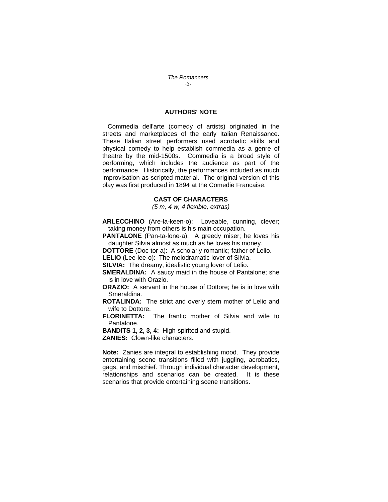*The Romancers -3-*

# **AUTHORS' NOTE**

 Commedia dell'arte (comedy of artists) originated in the streets and marketplaces of the early Italian Renaissance. These Italian street performers used acrobatic skills and physical comedy to help establish commedia as a genre of theatre by the mid-1500s. Commedia is a broad style of performing, which includes the audience as part of the performance. Historically, the performances included as much improvisation as scripted material. The original version of this play was first produced in 1894 at the Comedie Francaise.

#### **CAST OF CHARACTERS**

*(5 m, 4 w, 4 flexible, extras)* 

**ARLECCHINO** (Are-la-keen-o): Loveable, cunning, clever; taking money from others is his main occupation.

**PANTALONE** (Pan-ta-lone-a): A greedy miser; he loves his daughter Silvia almost as much as he loves his money.

**DOTTORE** (Doc-tor-a): A scholarly romantic; father of Lelio.

**LELIO** (Lee-lee-o): The melodramatic lover of Silvia.

**SILVIA:** The dreamy, idealistic young lover of Lelio.

**SMERALDINA:** A saucy maid in the house of Pantalone; she is in love with Orazio.

**ORAZIO:** A servant in the house of Dottore; he is in love with Smeraldina.

**ROTALINDA:** The strict and overly stern mother of Lelio and wife to Dottore.

**FLORINETTA:** The frantic mother of Silvia and wife to Pantalone.

**BANDITS 1, 2, 3, 4:** High-spirited and stupid.

**ZANIES:** Clown-like characters.

**Note:** Zanies are integral to establishing mood. They provide entertaining scene transitions filled with juggling, acrobatics, gags, and mischief. Through individual character development, relationships and scenarios can be created. It is these scenarios that provide entertaining scene transitions.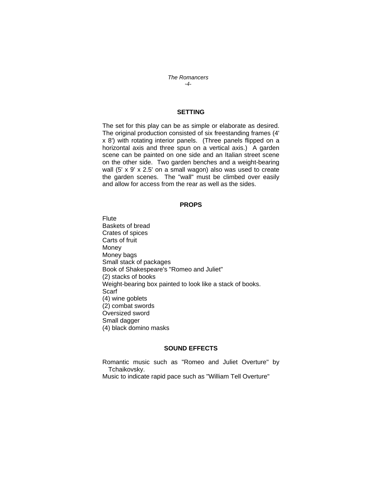*The Romancers -4-*

# **SETTING**

The set for this play can be as simple or elaborate as desired. The original production consisted of six freestanding frames (4' x 8') with rotating interior panels. (Three panels flipped on a horizontal axis and three spun on a vertical axis.) A garden scene can be painted on one side and an Italian street scene on the other side. Two garden benches and a weight-bearing wall (5' x 9' x 2.5' on a small wagon) also was used to create the garden scenes. The "wall" must be climbed over easily and allow for access from the rear as well as the sides.

#### **PROPS**

**Flute** Baskets of bread Crates of spices Carts of fruit Money Money bags Small stack of packages Book of Shakespeare's "Romeo and Juliet" (2) stacks of books Weight-bearing box painted to look like a stack of books. Scarf (4) wine goblets (2) combat swords Oversized sword Small dagger (4) black domino masks

### **SOUND EFFECTS**

Romantic music such as "Romeo and Juliet Overture" by Tchaikovsky. Music to indicate rapid pace such as "William Tell Overture"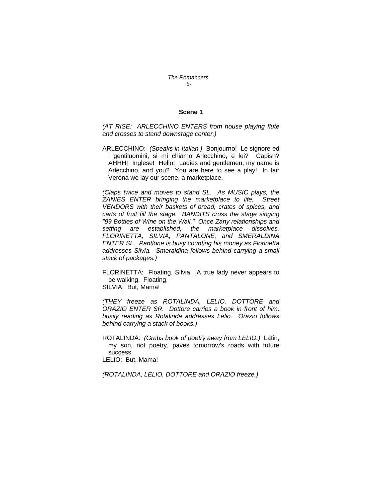*The Romancers -5-*

#### **Scene 1**

*(AT RISE: ARLECCHINO ENTERS from house playing flute and crosses to stand downstage center.)* 

ARLECCHINO: *(Speaks in Italian.)* Bonjourno! Le signore ed i gentiluomini, si mi chiamo Arlecchino, e lei? Capish? AHHH! Inglese! Hello! Ladies and gentlemen, my name is Arlecchino, and you? You are here to see a play! In fair Verona we lay our scene, a marketplace.

*(Claps twice and moves to stand SL. As MUSIC plays, the ZANIES ENTER bringing the marketplace to life. Street VENDORS with their baskets of bread, crates of spices, and carts of fruit fill the stage. BANDITS cross the stage singing "99 Bottles of Wine on the Wall." Once Zany relationships and setting are established, the marketplace dissolves. FLORINETTA, SILVIA, PANTALONE, and SMERALDINA ENTER SL. Pantlone is busy counting his money as Florinetta addresses Silvia. Smeraldina follows behind carrying a small stack of packages.)* 

FLORINETTA: Floating, Silvia. A true lady never appears to be walking. Floating. SILVIA: But, Mama!

*(THEY freeze as ROTALINDA, LELIO, DOTTORE and ORAZIO ENTER SR. Dottore carries a book in front of him, busily reading as Rotalinda addresses Lelio. Orazio follows behind carrying a stack of books.)* 

ROTALINDA: *(Grabs book of poetry away from LELIO.)* Latin, my son, not poetry, paves tomorrow's roads with future success.

LELIO: But, Mama!

*(ROTALINDA, LELIO, DOTTORE and ORAZIO freeze.)*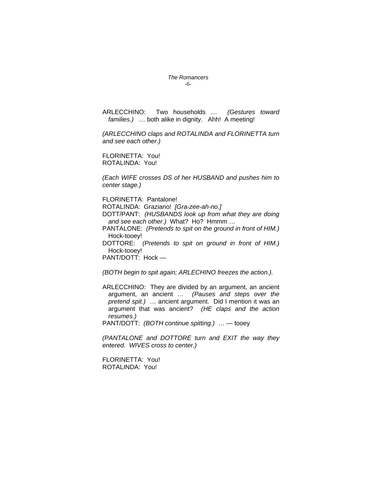#### *The Romancers -6-*

ARLECCHINO: Two households … *(Gestures toward families.)* … both alike in dignity. Ahh! A meeting!

*(ARLECCHINO claps and ROTALINDA and FLORINETTA turn and see each other.)* 

FLORINETTA: You! ROTALINDA: You!

*(Each WIFE crosses DS of her HUSBAND and pushes him to center stage.)*

FLORINETTA: Pantalone!

ROTALINDA: Graziano! *[Gra-zee-ah-no.]* 

DOTT/PANT: *(HUSBANDS look up from what they are doing and see each other.)* What? Ho? Hmmm …

PANTALONE: *(Pretends to spit on the ground in front of HIM.)* Hock-tooey!

DOTTORE: *(Pretends to spit on ground in front of HIM.)* Hock-tooey!

PANT/DOTT: Hock —

*(BOTH begin to spit again; ARLECHINO freezes the action.).* 

ARLECCHINO: They are divided by an argument, an ancient argument, an ancient … *(Pauses and steps over the pretend spit.)* … ancient argument. Did I mention it was an argument that was ancient? *(HE claps and the action resumes.)* 

PANT/DOTT: *(BOTH continue spitting.)* … — tooey

*(PANTALONE and DOTTORE turn and EXIT the way they entered. WIVES cross to center.)*

FLORINETTA: You! ROTALINDA: You!